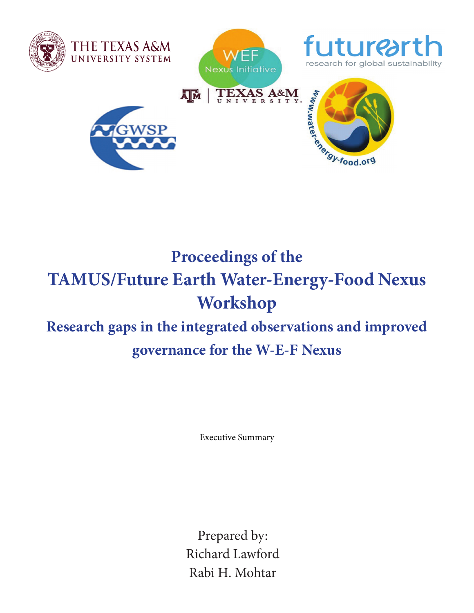

# **Proceedings of the TAMUS/Future Earth Water-Energy-Food Nexus Workshop Research gaps in the integrated observations and improved**

# **governance for the W-E-F Nexus**

Executive Summary

Prepared by: Richard Lawford Rabi H. Mohtar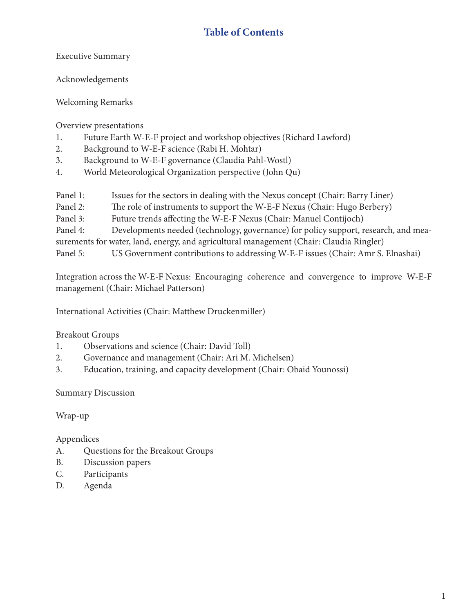# **Table of Contents**

Executive Summary

Acknowledgements

Welcoming Remarks

Overview presentations

- 1. Future Earth W-E-F project and workshop objectives (Richard Lawford)
- 2. Background to W-E-F science (Rabi H. Mohtar)
- 3. Background to W-E-F governance (Claudia Pahl-Wostl)
- 4. World Meteorological Organization perspective (John Qu)
- Panel 1: Issues for the sectors in dealing with the Nexus concept (Chair: Barry Liner)
- Panel 2: The role of instruments to support the W-E-F Nexus (Chair: Hugo Berbery)
- Panel 3: Future trends affecting the W-E-F Nexus (Chair: Manuel Contijoch)
- Panel 4: Developments needed (technology, governance) for policy support, research, and mea-
- surements for water, land, energy, and agricultural management (Chair: Claudia Ringler)
- Panel 5: US Government contributions to addressing W-E-F issues (Chair: Amr S. Elnashai)

Integration across the W-E-F Nexus: Encouraging coherence and convergence to improve W-E-F management (Chair: Michael Patterson)

International Activities (Chair: Matthew Druckenmiller)

#### Breakout Groups

- 1. Observations and science (Chair: David Toll)
- 2. Governance and management (Chair: Ari M. Michelsen)
- 3. Education, training, and capacity development (Chair: Obaid Younossi)

Summary Discussion

Wrap-up

Appendices

- A. Questions for the Breakout Groups
- B. Discussion papers
- C. Participants
- D. Agenda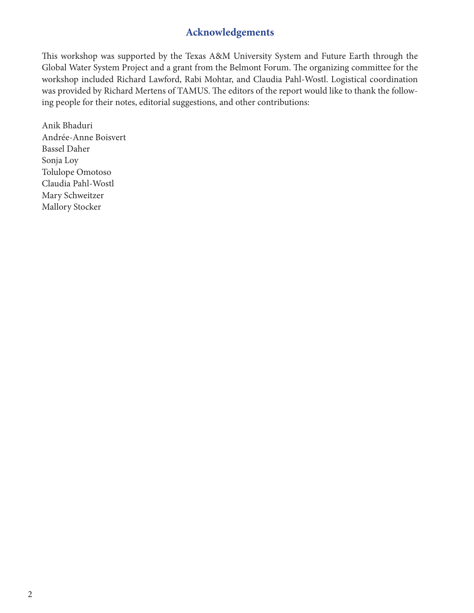### **Acknowledgements**

This workshop was supported by the Texas A&M University System and Future Earth through the Global Water System Project and a grant from the Belmont Forum. The organizing committee for the workshop included Richard Lawford, Rabi Mohtar, and Claudia Pahl-Wostl. Logistical coordination was provided by Richard Mertens of TAMUS. The editors of the report would like to thank the following people for their notes, editorial suggestions, and other contributions:

Anik Bhaduri Andrée-Anne Boisvert Bassel Daher Sonja Loy Tolulope Omotoso Claudia Pahl-Wostl Mary Schweitzer Mallory Stocker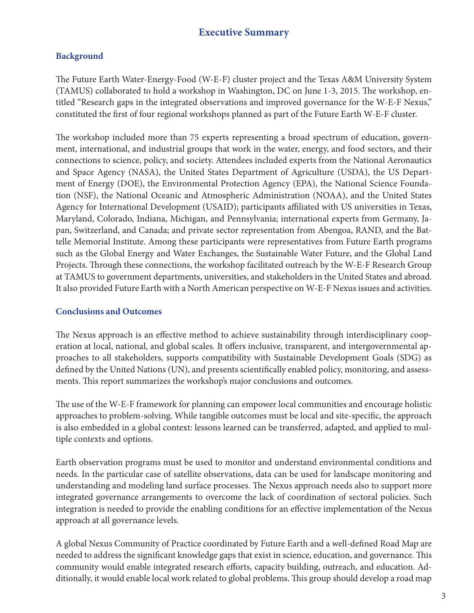## **Executive Summary**

#### **Background**

The Future Earth Water-Energy-Food (W-E-F) cluster project and the Texas A&M University System (TAMUS) collaborated to hold a workshop in Washington, DC on June 1-3, 2015. The workshop, entitled "Research gaps in the integrated observations and improved governance for the W-E-F Nexus," constituted the first of four regional workshops planned as part of the Future Earth W-E-F cluster.

The workshop included more than 75 experts representing a broad spectrum of education, government, international, and industrial groups that work in the water, energy, and food sectors, and their connections to science, policy, and society. Attendees included experts from the National Aeronautics and Space Agency (NASA), the United States Department of Agriculture (USDA), the US Department of Energy (DOE), the Environmental Protection Agency (EPA), the National Science Foundation (NSF), the National Oceanic and Atmospheric Administration (NOAA), and the United States Agency for International Development (USAID); participants affiliated with US universities in Texas, Maryland, Colorado, Indiana, Michigan, and Pennsylvania; international experts from Germany, Japan, Switzerland, and Canada; and private sector representation from Abengoa, RAND, and the Battelle Memorial Institute. Among these participants were representatives from Future Earth programs such as the Global Energy and Water Exchanges, the Sustainable Water Future, and the Global Land Projects. Through these connections, the workshop facilitated outreach by the W-E-F Research Group at TAMUS to government departments, universities, and stakeholders in the United States and abroad. It also provided Future Earth with a North American perspective on W-E-F Nexus issues and activities.

#### **Conclusions and Outcomes**

The Nexus approach is an effective method to achieve sustainability through interdisciplinary cooperation at local, national, and global scales. It offers inclusive, transparent, and intergovernmental approaches to all stakeholders, supports compatibility with Sustainable Development Goals (SDG) as defined by the United Nations (UN), and presents scientifically enabled policy, monitoring, and assessments. This report summarizes the workshop's major conclusions and outcomes.

The use of the W-E-F framework for planning can empower local communities and encourage holistic approaches to problem-solving. While tangible outcomes must be local and site-specific, the approach is also embedded in a global context: lessons learned can be transferred, adapted, and applied to multiple contexts and options.

Earth observation programs must be used to monitor and understand environmental conditions and needs. In the particular case of satellite observations, data can be used for landscape monitoring and understanding and modeling land surface processes. The Nexus approach needs also to support more integrated governance arrangements to overcome the lack of coordination of sectoral policies. Such integration is needed to provide the enabling conditions for an effective implementation of the Nexus approach at all governance levels.

A global Nexus Community of Practice coordinated by Future Earth and a well-defined Road Map are needed to address the significant knowledge gaps that exist in science, education, and governance. This community would enable integrated research efforts, capacity building, outreach, and education. Additionally, it would enable local work related to global problems. This group should develop a road map